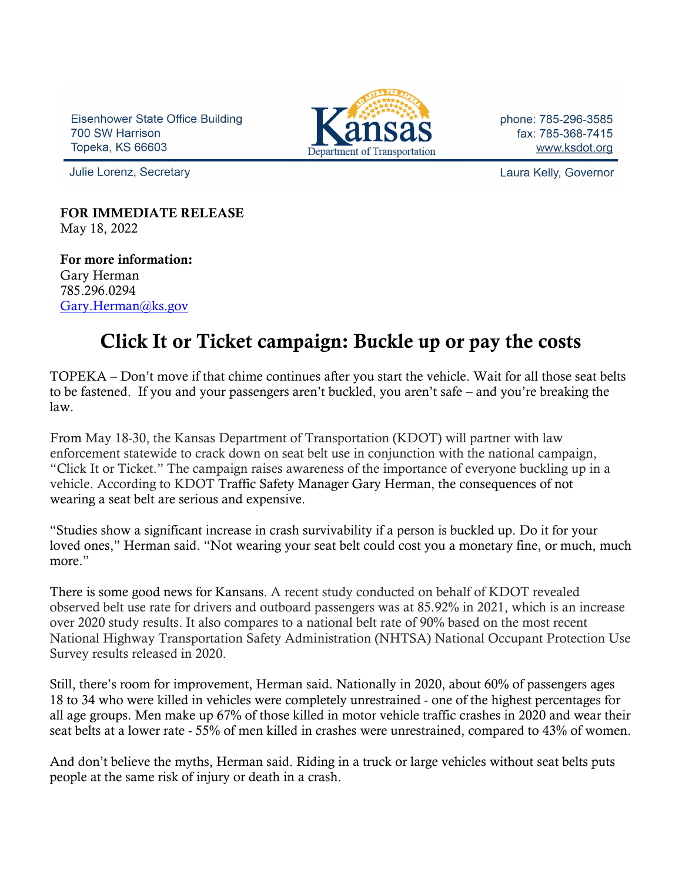Eisenhower State Office Building 700 SW Harrison **Topeka, KS 66603** 

Julie Lorenz, Secretary

phone: 785-296-3585 fax: 785-368-7415 www.ksdot.org

Laura Kelly, Governor

FOR IMMEDIATE RELEASE May 18, 2022

For more information: Gary Herman 785.296.0294 [Gary.Herman@ks.gov](mailto:Gary.Herman@ks.gov)

## Click It or Ticket campaign: Buckle up or pay the costs

Department of Transportation

TOPEKA – Don't move if that chime continues after you start the vehicle. Wait for all those seat belts to be fastened. If you and your passengers aren't buckled, you aren't safe – and you're breaking the law.

From May 18-30, the Kansas Department of Transportation (KDOT) will partner with law enforcement statewide to crack down on seat belt use in conjunction with the national campaign, "Click It or Ticket." The campaign raises awareness of the importance of everyone buckling up in a vehicle. According to KDOT Traffic Safety Manager Gary Herman, the consequences of not wearing a seat belt are serious and expensive.

"Studies show a significant increase in crash survivability if a person is buckled up. Do it for your loved ones," Herman said. "Not wearing your seat belt could cost you a monetary fine, or much, much more."

There is some good news for Kansans. A recent study conducted on behalf of KDOT revealed observed belt use rate for drivers and outboard passengers was at 85.92% in 2021, which is an increase over 2020 study results. It also compares to a national belt rate of 90% based on the most recent National Highway Transportation Safety Administration (NHTSA) National Occupant Protection Use Survey results released in 2020.

Still, there's room for improvement, Herman said. Nationally in 2020, about 60% of passengers ages 18 to 34 who were killed in vehicles were completely unrestrained - one of the highest percentages for all age groups. Men make up 67% of those killed in motor vehicle traffic crashes in 2020 and wear their seat belts at a lower rate - 55% of men killed in crashes were unrestrained, compared to 43% of women.

And don't believe the myths, Herman said. Riding in a truck or large vehicles without seat belts puts people at the same risk of injury or death in a crash.